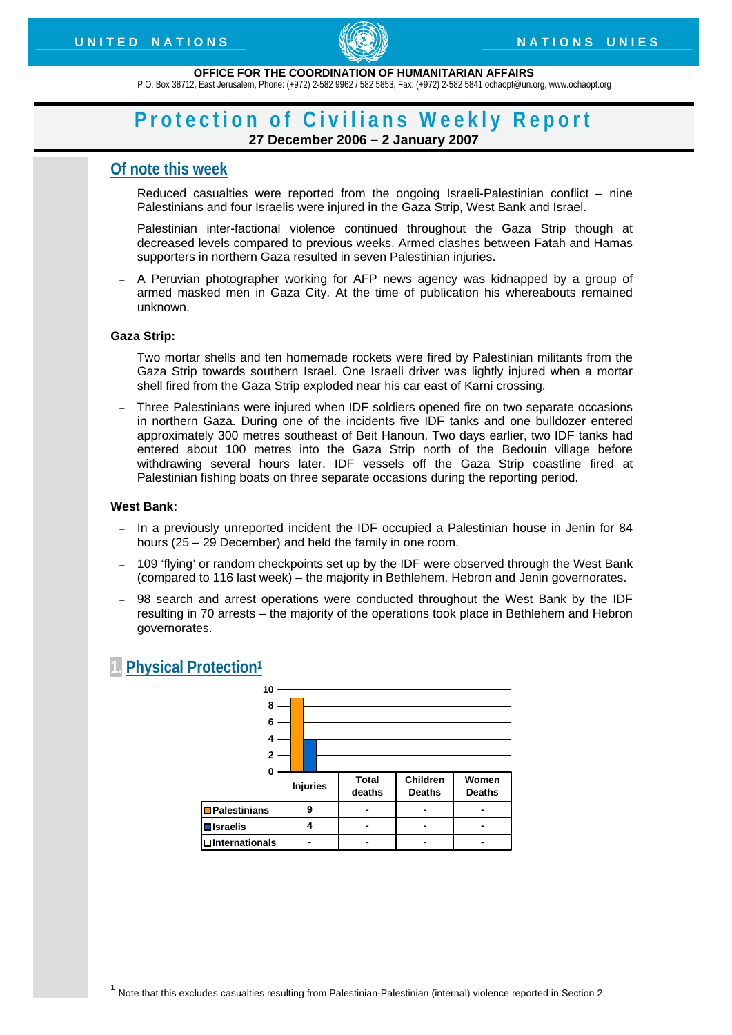

#### **OFFICE FOR THE COORDINATION OF HUMANITARIAN AFFAIRS**

P.O. Box 38712, East Jerusalem, Phone: (+972) 2-582 9962 / 582 5853, Fax: (+972) 2-582 5841 ochaopt@un.org, www.ochaopt.org

## **Protection of Civilians Weekly Report 27 December 2006 – 2 January 2007**

## **Of note this week**

- − Reduced casualties were reported from the ongoing Israeli-Palestinian conflict nine Palestinians and four Israelis were injured in the Gaza Strip, West Bank and Israel.
- − Palestinian inter-factional violence continued throughout the Gaza Strip though at decreased levels compared to previous weeks. Armed clashes between Fatah and Hamas supporters in northern Gaza resulted in seven Palestinian injuries.
- A Peruvian photographer working for AFP news agency was kidnapped by a group of armed masked men in Gaza City. At the time of publication his whereabouts remained unknown.

## **Gaza Strip:**

- Two mortar shells and ten homemade rockets were fired by Palestinian militants from the Gaza Strip towards southern Israel. One Israeli driver was lightly injured when a mortar shell fired from the Gaza Strip exploded near his car east of Karni crossing.
- − Three Palestinians were injured when IDF soldiers opened fire on two separate occasions in northern Gaza. During one of the incidents five IDF tanks and one bulldozer entered approximately 300 metres southeast of Beit Hanoun. Two days earlier, two IDF tanks had entered about 100 metres into the Gaza Strip north of the Bedouin village before withdrawing several hours later. IDF vessels off the Gaza Strip coastline fired at Palestinian fishing boats on three separate occasions during the reporting period.

## **West Bank:**

1

- − In a previously unreported incident the IDF occupied a Palestinian house in Jenin for 84 hours (25 – 29 December) and held the family in one room.
- − 109 'flying' or random checkpoints set up by the IDF were observed through the West Bank (compared to 116 last week) – the majority in Bethlehem, Hebron and Jenin governorates.
- 98 search and arrest operations were conducted throughout the West Bank by the IDF resulting in 70 arrests – the majority of the operations took place in Bethlehem and Hebron governorates.

## **1. Physical Protection1**



 $1$  Note that this excludes casualties resulting from Palestinian-Palestinian (internal) violence reported in Section 2.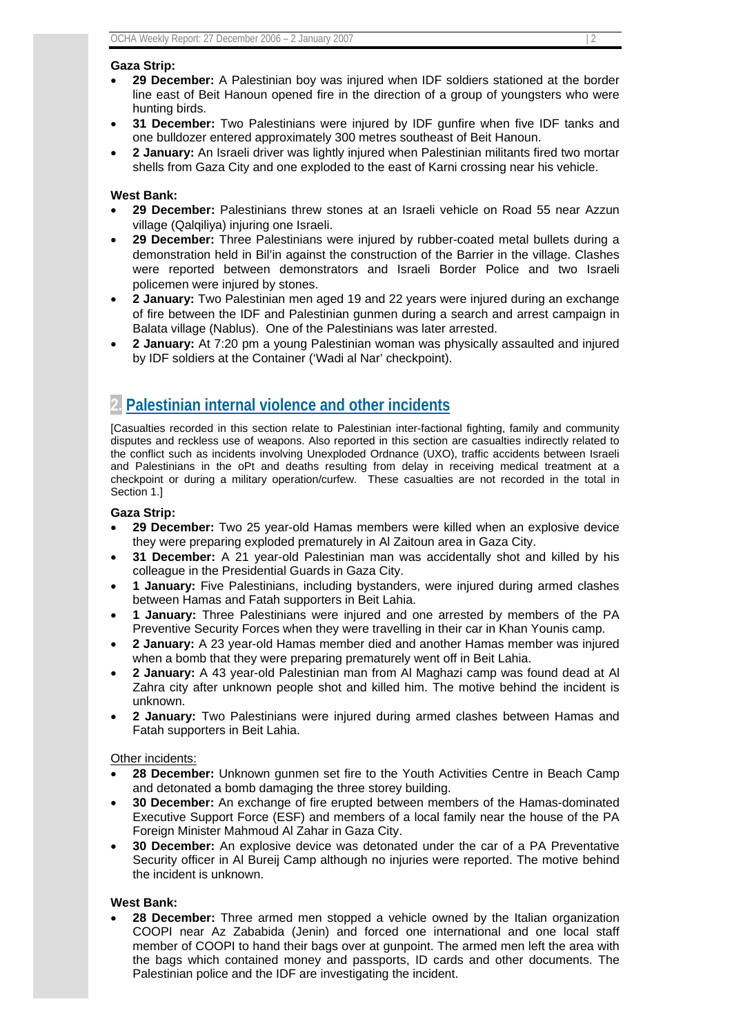## **Gaza Strip:**

- **29 December:** A Palestinian boy was injured when IDF soldiers stationed at the border line east of Beit Hanoun opened fire in the direction of a group of youngsters who were hunting birds.
- **31 December:** Two Palestinians were injured by IDF gunfire when five IDF tanks and one bulldozer entered approximately 300 metres southeast of Beit Hanoun.
- **2 January:** An Israeli driver was lightly injured when Palestinian militants fired two mortar shells from Gaza City and one exploded to the east of Karni crossing near his vehicle.

## **West Bank:**

- **29 December:** Palestinians threw stones at an Israeli vehicle on Road 55 near Azzun village (Qalqiliya) injuring one Israeli.
- **29 December:** Three Palestinians were injured by rubber-coated metal bullets during a demonstration held in Bil'in against the construction of the Barrier in the village. Clashes were reported between demonstrators and Israeli Border Police and two Israeli policemen were injured by stones.
- **2 January:** Two Palestinian men aged 19 and 22 years were injured during an exchange of fire between the IDF and Palestinian gunmen during a search and arrest campaign in Balata village (Nablus). One of the Palestinians was later arrested.
- **2 January:** At 7:20 pm a young Palestinian woman was physically assaulted and injured by IDF soldiers at the Container ('Wadi al Nar' checkpoint).

## **2. Palestinian internal violence and other incidents**

[Casualties recorded in this section relate to Palestinian inter-factional fighting, family and community disputes and reckless use of weapons. Also reported in this section are casualties indirectly related to the conflict such as incidents involving Unexploded Ordnance (UXO), traffic accidents between Israeli and Palestinians in the oPt and deaths resulting from delay in receiving medical treatment at a checkpoint or during a military operation/curfew. These casualties are not recorded in the total in Section 1.]

#### **Gaza Strip:**

- **29 December:** Two 25 year-old Hamas members were killed when an explosive device they were preparing exploded prematurely in Al Zaitoun area in Gaza City.
- **31 December:** A 21 year-old Palestinian man was accidentally shot and killed by his colleague in the Presidential Guards in Gaza City.
- **1 January:** Five Palestinians, including bystanders, were injured during armed clashes between Hamas and Fatah supporters in Beit Lahia.
- **1 January:** Three Palestinians were injured and one arrested by members of the PA Preventive Security Forces when they were travelling in their car in Khan Younis camp.
- **2 January:** A 23 year-old Hamas member died and another Hamas member was injured when a bomb that they were preparing prematurely went off in Beit Lahia.
- **2 January:** A 43 year-old Palestinian man from Al Maghazi camp was found dead at Al Zahra city after unknown people shot and killed him. The motive behind the incident is unknown.
- **2 January:** Two Palestinians were injured during armed clashes between Hamas and Fatah supporters in Beit Lahia.

## Other incidents:

- **28 December:** Unknown gunmen set fire to the Youth Activities Centre in Beach Camp and detonated a bomb damaging the three storey building.
- **30 December:** An exchange of fire erupted between members of the Hamas-dominated Executive Support Force (ESF) and members of a local family near the house of the PA Foreign Minister Mahmoud Al Zahar in Gaza City.
- **30 December:** An explosive device was detonated under the car of a PA Preventative Security officer in Al Bureij Camp although no injuries were reported. The motive behind the incident is unknown.

## **West Bank:**

• **28 December:** Three armed men stopped a vehicle owned by the Italian organization COOPI near Az Zababida (Jenin) and forced one international and one local staff member of COOPI to hand their bags over at gunpoint. The armed men left the area with the bags which contained money and passports, ID cards and other documents. The Palestinian police and the IDF are investigating the incident.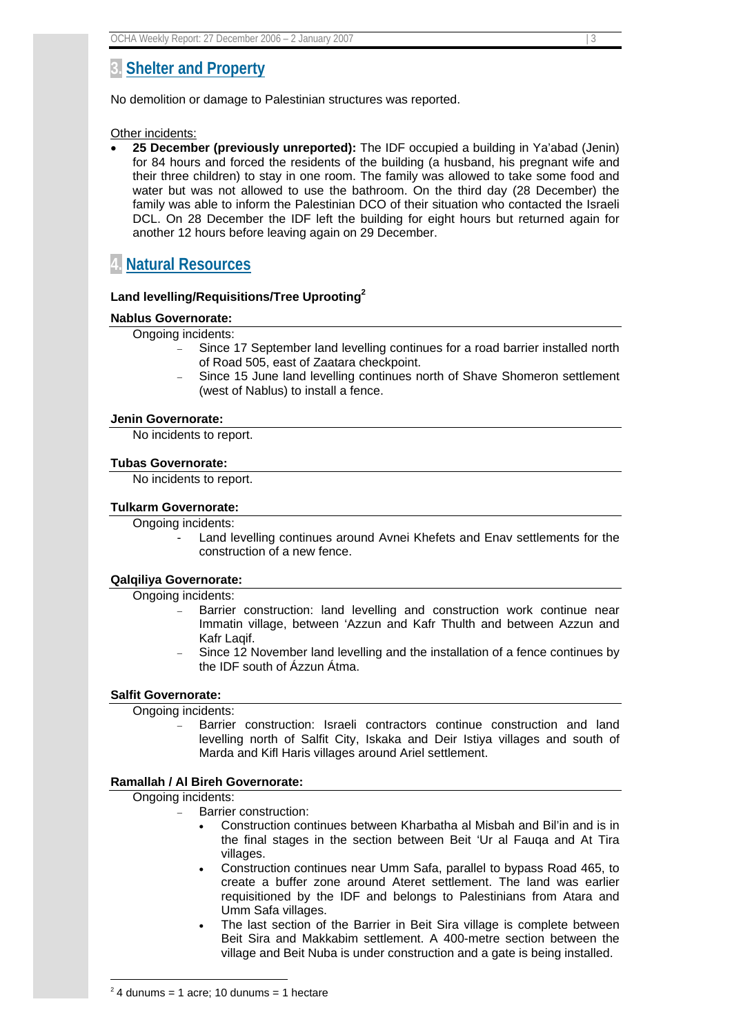## **3. Shelter and Property**

No demolition or damage to Palestinian structures was reported.

Other incidents:

• **25 December (previously unreported):** The IDF occupied a building in Ya'abad (Jenin) for 84 hours and forced the residents of the building (a husband, his pregnant wife and their three children) to stay in one room. The family was allowed to take some food and water but was not allowed to use the bathroom. On the third day (28 December) the family was able to inform the Palestinian DCO of their situation who contacted the Israeli DCL. On 28 December the IDF left the building for eight hours but returned again for another 12 hours before leaving again on 29 December.

## **4. Natural Resources**

## **Land levelling/Requisitions/Tree Uprooting2**

#### **Nablus Governorate:**

Ongoing incidents:

- Since 17 September land levelling continues for a road barrier installed north of Road 505, east of Zaatara checkpoint.
- Since 15 June land levelling continues north of Shave Shomeron settlement (west of Nablus) to install a fence.

#### **Jenin Governorate:**

No incidents to report.

#### **Tubas Governorate:**

No incidents to report.

#### **Tulkarm Governorate:**

Ongoing incidents:

Land levelling continues around Avnei Khefets and Enav settlements for the construction of a new fence.

## **Qalqiliya Governorate:**

Ongoing incidents:

- Barrier construction: land levelling and construction work continue near Immatin village, between 'Azzun and Kafr Thulth and between Azzun and Kafr Laqif.
- Since 12 November land levelling and the installation of a fence continues by the IDF south of Ázzun Átma.

## **Salfit Governorate:**

Ongoing incidents:

Barrier construction: Israeli contractors continue construction and land levelling north of Salfit City, Iskaka and Deir Istiya villages and south of Marda and Kifl Haris villages around Ariel settlement.

## **Ramallah / Al Bireh Governorate:**

Ongoing incidents:

1

- Barrier construction:
	- Construction continues between Kharbatha al Misbah and Bil'in and is in the final stages in the section between Beit 'Ur al Fauqa and At Tira villages.
	- Construction continues near Umm Safa, parallel to bypass Road 465, to create a buffer zone around Ateret settlement. The land was earlier requisitioned by the IDF and belongs to Palestinians from Atara and Umm Safa villages.
	- The last section of the Barrier in Beit Sira village is complete between Beit Sira and Makkabim settlement. A 400-metre section between the village and Beit Nuba is under construction and a gate is being installed.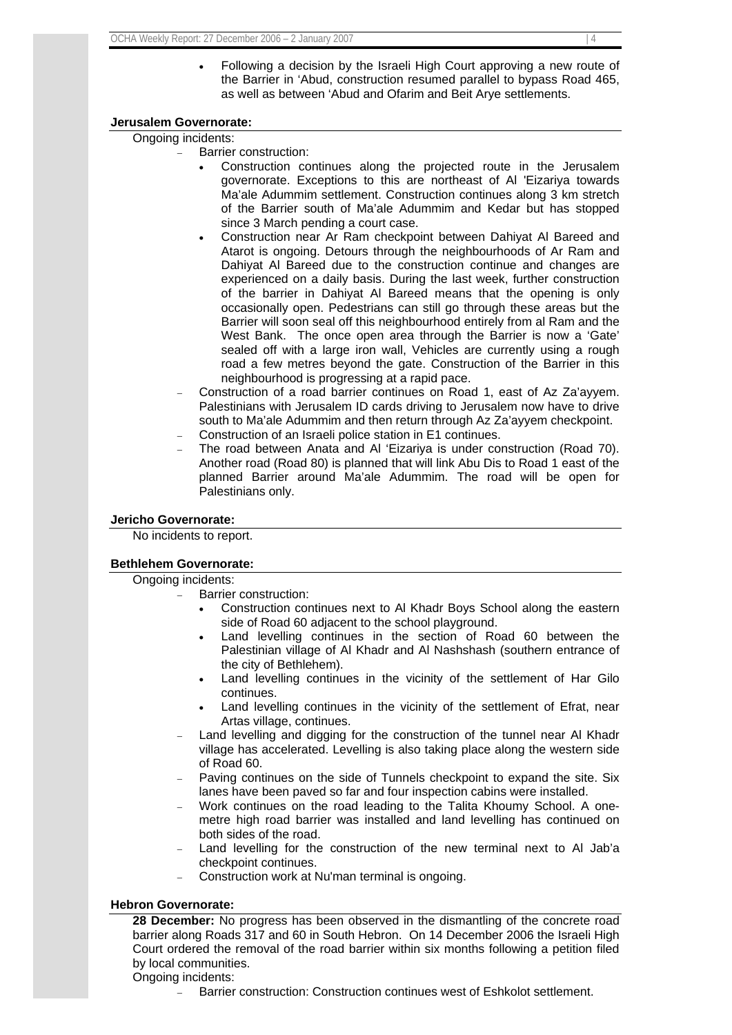• Following a decision by the Israeli High Court approving a new route of the Barrier in 'Abud, construction resumed parallel to bypass Road 465, as well as between 'Abud and Ofarim and Beit Arye settlements.

## **Jerusalem Governorate:**

Ongoing incidents:

- Barrier construction:
	- Construction continues along the projected route in the Jerusalem governorate. Exceptions to this are northeast of Al 'Eizariya towards Ma'ale Adummim settlement. Construction continues along 3 km stretch of the Barrier south of Ma'ale Adummim and Kedar but has stopped since 3 March pending a court case.
	- Construction near Ar Ram checkpoint between Dahiyat Al Bareed and Atarot is ongoing. Detours through the neighbourhoods of Ar Ram and Dahiyat Al Bareed due to the construction continue and changes are experienced on a daily basis. During the last week, further construction of the barrier in Dahiyat Al Bareed means that the opening is only occasionally open. Pedestrians can still go through these areas but the Barrier will soon seal off this neighbourhood entirely from al Ram and the West Bank. The once open area through the Barrier is now a 'Gate' sealed off with a large iron wall, Vehicles are currently using a rough road a few metres beyond the gate. Construction of the Barrier in this neighbourhood is progressing at a rapid pace.
- − Construction of a road barrier continues on Road 1, east of Az Za'ayyem. Palestinians with Jerusalem ID cards driving to Jerusalem now have to drive south to Ma'ale Adummim and then return through Az Za'ayyem checkpoint.
- − Construction of an Israeli police station in E1 continues.
- The road between Anata and Al 'Eizariya is under construction (Road 70). Another road (Road 80) is planned that will link Abu Dis to Road 1 east of the planned Barrier around Ma'ale Adummim. The road will be open for Palestinians only.

## **Jericho Governorate:**

No incidents to report.

## **Bethlehem Governorate:**

Ongoing incidents:

- Barrier construction:
	- Construction continues next to Al Khadr Boys School along the eastern side of Road 60 adjacent to the school playground.
	- Land levelling continues in the section of Road 60 between the Palestinian village of Al Khadr and Al Nashshash (southern entrance of the city of Bethlehem).
	- Land levelling continues in the vicinity of the settlement of Har Gilo continues.
	- Land levelling continues in the vicinity of the settlement of Efrat, near Artas village, continues.
- Land levelling and digging for the construction of the tunnel near Al Khadr village has accelerated. Levelling is also taking place along the western side of Road 60.
- Paving continues on the side of Tunnels checkpoint to expand the site. Six lanes have been paved so far and four inspection cabins were installed.
- − Work continues on the road leading to the Talita Khoumy School. A onemetre high road barrier was installed and land levelling has continued on both sides of the road.
- Land levelling for the construction of the new terminal next to Al Jab'a checkpoint continues.
- − Construction work at Nu'man terminal is ongoing.

## **Hebron Governorate:**

**28 December:** No progress has been observed in the dismantling of the concrete road barrier along Roads 317 and 60 in South Hebron. On 14 December 2006 the Israeli High Court ordered the removal of the road barrier within six months following a petition filed by local communities. Ongoing incidents:

Barrier construction: Construction continues west of Eshkolot settlement.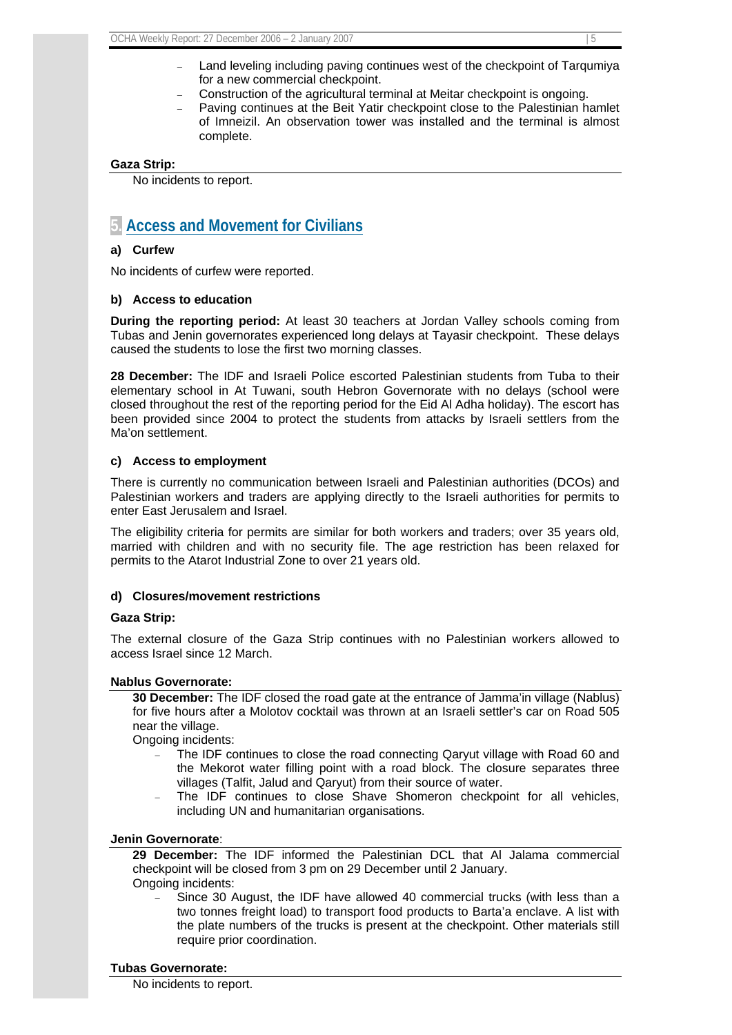- Land leveling including paving continues west of the checkpoint of Tarqumiya for a new commercial checkpoint.
- − Construction of the agricultural terminal at Meitar checkpoint is ongoing.
- Paving continues at the Beit Yatir checkpoint close to the Palestinian hamlet of Imneizil. An observation tower was installed and the terminal is almost complete.

## **Gaza Strip:**

No incidents to report.

## **5. Access and Movement for Civilians**

## **a) Curfew**

No incidents of curfew were reported.

## **b) Access to education**

**During the reporting period:** At least 30 teachers at Jordan Valley schools coming from Tubas and Jenin governorates experienced long delays at Tayasir checkpoint. These delays caused the students to lose the first two morning classes.

**28 December:** The IDF and Israeli Police escorted Palestinian students from Tuba to their elementary school in At Tuwani, south Hebron Governorate with no delays (school were closed throughout the rest of the reporting period for the Eid Al Adha holiday). The escort has been provided since 2004 to protect the students from attacks by Israeli settlers from the Ma'on settlement.

## **c) Access to employment**

There is currently no communication between Israeli and Palestinian authorities (DCOs) and Palestinian workers and traders are applying directly to the Israeli authorities for permits to enter East Jerusalem and Israel.

The eligibility criteria for permits are similar for both workers and traders; over 35 years old, married with children and with no security file. The age restriction has been relaxed for permits to the Atarot Industrial Zone to over 21 years old.

## **d) Closures/movement restrictions**

## **Gaza Strip:**

The external closure of the Gaza Strip continues with no Palestinian workers allowed to access Israel since 12 March.

## **Nablus Governorate:**

**30 December:** The IDF closed the road gate at the entrance of Jamma'in village (Nablus) for five hours after a Molotov cocktail was thrown at an Israeli settler's car on Road 505 near the village.

Ongoing incidents:

- The IDF continues to close the road connecting Qaryut village with Road 60 and the Mekorot water filling point with a road block. The closure separates three villages (Talfit, Jalud and Qaryut) from their source of water.
- The IDF continues to close Shave Shomeron checkpoint for all vehicles, including UN and humanitarian organisations.

## **Jenin Governorate**:

**29 December:** The IDF informed the Palestinian DCL that Al Jalama commercial checkpoint will be closed from 3 pm on 29 December until 2 January. Ongoing incidents:

Since 30 August, the IDF have allowed 40 commercial trucks (with less than a two tonnes freight load) to transport food products to Barta'a enclave. A list with the plate numbers of the trucks is present at the checkpoint. Other materials still require prior coordination.

## **Tubas Governorate:**

No incidents to report.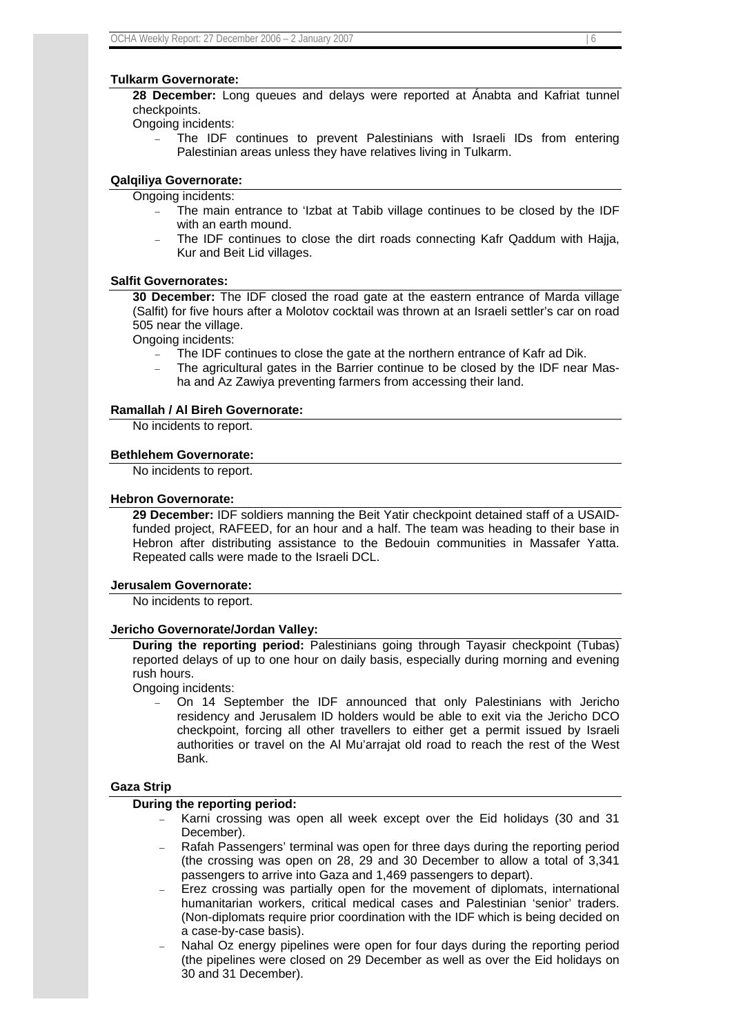#### **Tulkarm Governorate:**

**28 December:** Long queues and delays were reported at Ánabta and Kafriat tunnel checkpoints.

Ongoing incidents:

The IDF continues to prevent Palestinians with Israeli IDs from entering Palestinian areas unless they have relatives living in Tulkarm.

## **Qalqiliya Governorate:**

- Ongoing incidents:
	- The main entrance to 'Izbat at Tabib village continues to be closed by the IDF with an earth mound.
	- The IDF continues to close the dirt roads connecting Kafr Qaddum with Hajja, Kur and Beit Lid villages.

#### **Salfit Governorates:**

**30 December:** The IDF closed the road gate at the eastern entrance of Marda village (Salfit) for five hours after a Molotov cocktail was thrown at an Israeli settler's car on road 505 near the village.

Ongoing incidents:

- The IDF continues to close the gate at the northern entrance of Kafr ad Dik.
- − The agricultural gates in the Barrier continue to be closed by the IDF near Masha and Az Zawiya preventing farmers from accessing their land.

## **Ramallah / Al Bireh Governorate:**

No incidents to report.

#### **Bethlehem Governorate:**

No incidents to report.

#### **Hebron Governorate:**

**29 December:** IDF soldiers manning the Beit Yatir checkpoint detained staff of a USAIDfunded project, RAFEED, for an hour and a half. The team was heading to their base in Hebron after distributing assistance to the Bedouin communities in Massafer Yatta. Repeated calls were made to the Israeli DCL.

## **Jerusalem Governorate:**

No incidents to report.

#### **Jericho Governorate/Jordan Valley:**

**During the reporting period:** Palestinians going through Tayasir checkpoint (Tubas) reported delays of up to one hour on daily basis, especially during morning and evening rush hours.

Ongoing incidents:

On 14 September the IDF announced that only Palestinians with Jericho residency and Jerusalem ID holders would be able to exit via the Jericho DCO checkpoint, forcing all other travellers to either get a permit issued by Israeli authorities or travel on the Al Mu'arrajat old road to reach the rest of the West Bank.

## **Gaza Strip**

#### **During the reporting period:**

- Karni crossing was open all week except over the Eid holidays (30 and 31 December).
- Rafah Passengers' terminal was open for three days during the reporting period (the crossing was open on 28, 29 and 30 December to allow a total of 3,341 passengers to arrive into Gaza and 1,469 passengers to depart).
- Erez crossing was partially open for the movement of diplomats, international humanitarian workers, critical medical cases and Palestinian 'senior' traders. (Non-diplomats require prior coordination with the IDF which is being decided on a case-by-case basis).
- Nahal Oz energy pipelines were open for four days during the reporting period (the pipelines were closed on 29 December as well as over the Eid holidays on 30 and 31 December).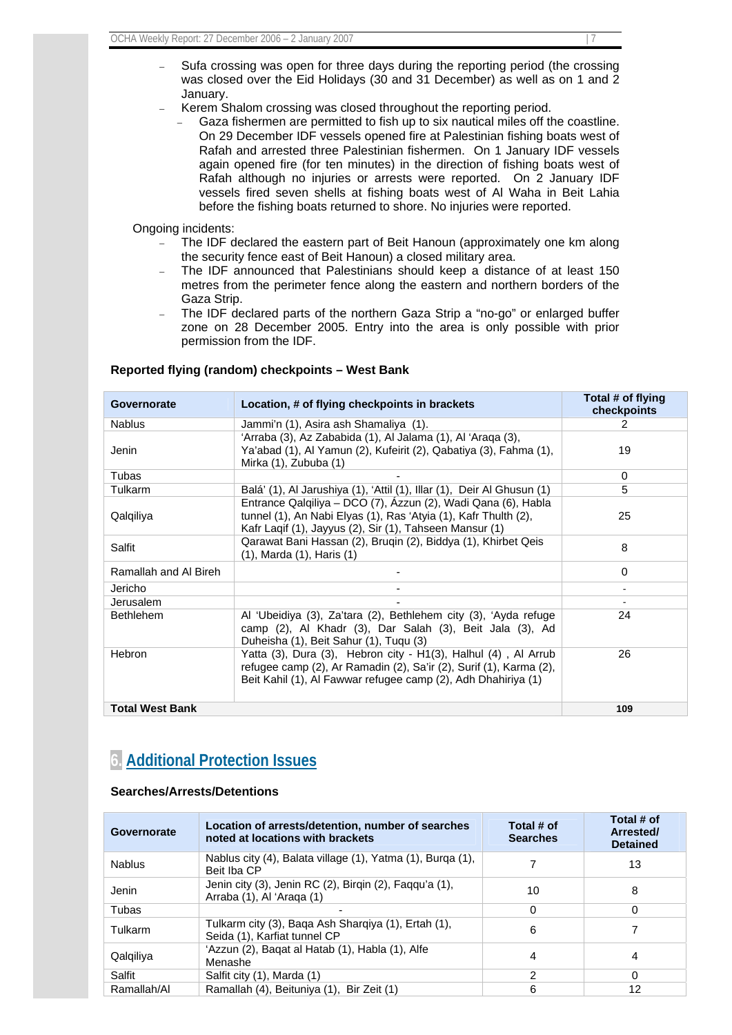- Sufa crossing was open for three days during the reporting period (the crossing was closed over the Eid Holidays (30 and 31 December) as well as on 1 and 2 January.
- Kerem Shalom crossing was closed throughout the reporting period.
	- Gaza fishermen are permitted to fish up to six nautical miles off the coastline. On 29 December IDF vessels opened fire at Palestinian fishing boats west of Rafah and arrested three Palestinian fishermen. On 1 January IDF vessels again opened fire (for ten minutes) in the direction of fishing boats west of Rafah although no injuries or arrests were reported. On 2 January IDF vessels fired seven shells at fishing boats west of Al Waha in Beit Lahia before the fishing boats returned to shore. No injuries were reported.

Ongoing incidents:

- The IDF declared the eastern part of Beit Hanoun (approximately one km along the security fence east of Beit Hanoun) a closed military area.
- The IDF announced that Palestinians should keep a distance of at least 150 metres from the perimeter fence along the eastern and northern borders of the Gaza Strip.
- The IDF declared parts of the northern Gaza Strip a "no-go" or enlarged buffer zone on 28 December 2005. Entry into the area is only possible with prior permission from the IDF.

| <b>Governorate</b>     | Location, # of flying checkpoints in brackets                                                                                                                                                         | Total # of flying<br>checkpoints |
|------------------------|-------------------------------------------------------------------------------------------------------------------------------------------------------------------------------------------------------|----------------------------------|
| <b>Nablus</b>          | Jammi'n (1), Asira ash Shamaliya (1).                                                                                                                                                                 | 2                                |
| Jenin                  | 'Arraba (3), Az Zababida (1), Al Jalama (1), Al 'Araga (3),<br>Ya'abad (1), Al Yamun (2), Kufeirit (2), Qabatiya (3), Fahma (1),<br>Mirka (1), Zububa (1)                                             | 19                               |
| Tubas                  |                                                                                                                                                                                                       | $\Omega$                         |
| Tulkarm                | Balá' (1), Al Jarushiya (1), 'Attil (1), Illar (1), Deir Al Ghusun (1)                                                                                                                                | 5                                |
| Qalqiliya              | Entrance Qalqiliya - DCO (7), Azzun (2), Wadi Qana (6), Habla<br>tunnel (1), An Nabi Elyas (1), Ras 'Atyia (1), Kafr Thulth (2),<br>Kafr Laqif (1), Jayyus (2), Sir (1), Tahseen Mansur (1)           | 25                               |
| Salfit                 | Qarawat Bani Hassan (2), Bruqin (2), Biddya (1), Khirbet Qeis<br>$(1)$ , Marda $(1)$ , Haris $(1)$                                                                                                    | 8                                |
| Ramallah and Al Bireh  |                                                                                                                                                                                                       | 0                                |
| Jericho                |                                                                                                                                                                                                       |                                  |
| Jerusalem              |                                                                                                                                                                                                       |                                  |
| <b>Bethlehem</b>       | Al 'Ubeidiya (3), Za'tara (2), Bethlehem city (3), 'Ayda refuge<br>camp (2), Al Khadr (3), Dar Salah (3), Beit Jala (3), Ad<br>Duheisha (1), Beit Sahur (1), Tuqu (3)                                 | 24                               |
| <b>Hebron</b>          | Yatta (3), Dura (3), Hebron city - H1(3), Halhul (4), Al Arrub<br>refugee camp (2), Ar Ramadin (2), Sa'ir (2), Surif (1), Karma (2),<br>Beit Kahil (1), Al Fawwar refugee camp (2), Adh Dhahiriya (1) | 26                               |
| <b>Total West Bank</b> |                                                                                                                                                                                                       | 109                              |

## **Reported flying (random) checkpoints – West Bank**

## **6. Additional Protection Issues**

## **Searches/Arrests/Detentions**

| Governorate   | Location of arrests/detention, number of searches<br>noted at locations with brackets | Total # of<br><b>Searches</b> | Total # of<br>Arrested/<br><b>Detained</b> |
|---------------|---------------------------------------------------------------------------------------|-------------------------------|--------------------------------------------|
| <b>Nablus</b> | Nablus city (4), Balata village (1), Yatma (1), Burga (1),<br>Beit Iba CP             |                               | 13                                         |
| Jenin         | Jenin city (3), Jenin RC (2), Birgin (2), Faggu'a (1),<br>Arraba (1), Al 'Araga (1)   | 10                            | 8                                          |
| Tubas         |                                                                                       | 0                             | 0                                          |
| Tulkarm       | Tulkarm city (3), Baga Ash Sharqiya (1), Ertah (1),<br>Seida (1), Karfiat tunnel CP   | 6                             |                                            |
| Qalqiliya     | 'Azzun (2), Baqat al Hatab (1), Habla (1), Alfe<br>Menashe                            | 4                             | 4                                          |
| Salfit        | Salfit city (1), Marda (1)                                                            | 2                             | 0                                          |
| Ramallah/Al   | Ramallah (4), Beituniya (1), Bir Zeit (1)                                             | 6                             | 12                                         |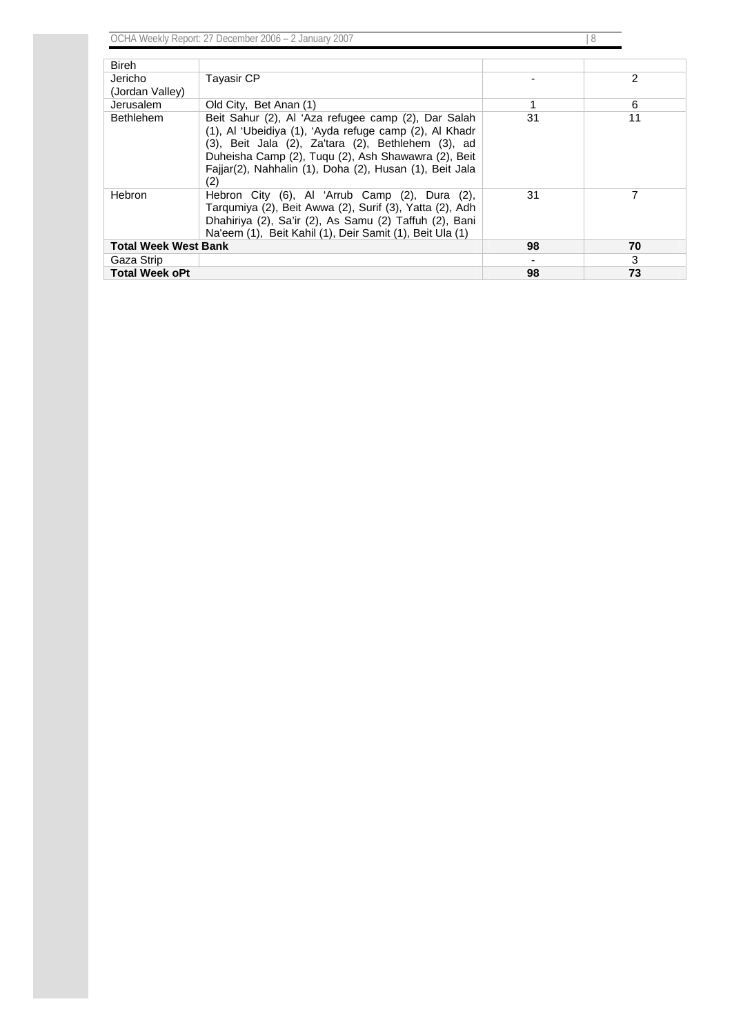OCHA Weekly Report: 27 December 2006 – 2 January 2007 | 8 | 8

| <b>Bireh</b>                |                                                                                                                                                                                                                                                                                              |    |    |
|-----------------------------|----------------------------------------------------------------------------------------------------------------------------------------------------------------------------------------------------------------------------------------------------------------------------------------------|----|----|
| Jericho                     | <b>Tayasir CP</b>                                                                                                                                                                                                                                                                            |    | 2  |
| (Jordan Valley)             |                                                                                                                                                                                                                                                                                              |    |    |
| Jerusalem                   | Old City, Bet Anan (1)                                                                                                                                                                                                                                                                       | 1  | 6  |
| <b>Bethlehem</b>            | Beit Sahur (2), Al 'Aza refugee camp (2), Dar Salah<br>(1), Al 'Ubeidiya (1), 'Ayda refuge camp (2), Al Khadr<br>(3), Beit Jala (2), Za'tara (2), Bethlehem (3), ad<br>Duheisha Camp (2), Tugu (2), Ash Shawawra (2), Beit<br>Faijar(2), Nahhalin (1), Doha (2), Husan (1), Beit Jala<br>(2) | 31 | 11 |
| <b>Hebron</b>               | Hebron City (6), Al 'Arrub Camp (2), Dura (2),<br>Tarqumiya (2), Beit Awwa (2), Surif (3), Yatta (2), Adh<br>Dhahiriya (2), Sa'ir (2), As Samu (2) Taffuh (2), Bani<br>Na'eem (1), Beit Kahil (1), Deir Samit (1), Beit Ula (1)                                                              | 31 | 7  |
| <b>Total Week West Bank</b> |                                                                                                                                                                                                                                                                                              | 98 | 70 |
| Gaza Strip                  |                                                                                                                                                                                                                                                                                              |    | 3  |
| <b>Total Week oPt</b>       |                                                                                                                                                                                                                                                                                              | 98 | 73 |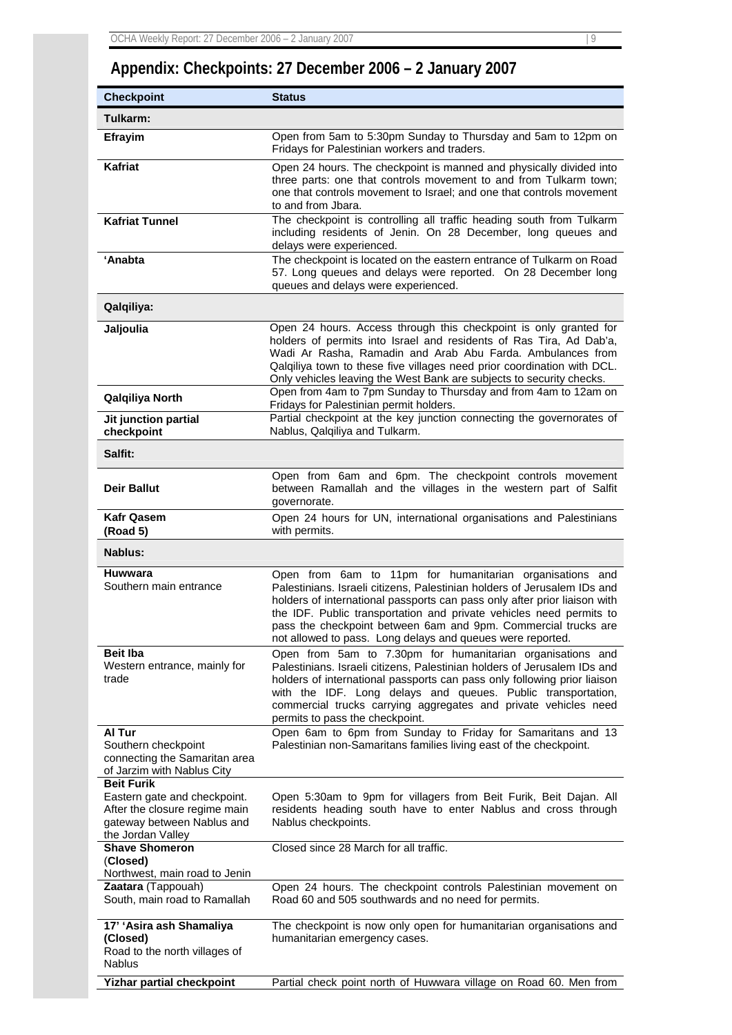# **Appendix: Checkpoints: 27 December 2006 – 2 January 2007**

| <b>Checkpoint</b>                                                                                                                     | <b>Status</b>                                                                                                                                                                                                                                                                                                                                                                                                                |
|---------------------------------------------------------------------------------------------------------------------------------------|------------------------------------------------------------------------------------------------------------------------------------------------------------------------------------------------------------------------------------------------------------------------------------------------------------------------------------------------------------------------------------------------------------------------------|
| Tulkarm:                                                                                                                              |                                                                                                                                                                                                                                                                                                                                                                                                                              |
| Efrayim                                                                                                                               | Open from 5am to 5:30pm Sunday to Thursday and 5am to 12pm on<br>Fridays for Palestinian workers and traders.                                                                                                                                                                                                                                                                                                                |
| Kafriat                                                                                                                               | Open 24 hours. The checkpoint is manned and physically divided into<br>three parts: one that controls movement to and from Tulkarm town;<br>one that controls movement to Israel; and one that controls movement<br>to and from Jbara.                                                                                                                                                                                       |
| <b>Kafriat Tunnel</b>                                                                                                                 | The checkpoint is controlling all traffic heading south from Tulkarm<br>including residents of Jenin. On 28 December, long queues and<br>delays were experienced.                                                                                                                                                                                                                                                            |
| 'Anabta                                                                                                                               | The checkpoint is located on the eastern entrance of Tulkarm on Road<br>57. Long queues and delays were reported. On 28 December long<br>queues and delays were experienced.                                                                                                                                                                                                                                                 |
| Qalqiliya:                                                                                                                            |                                                                                                                                                                                                                                                                                                                                                                                                                              |
| Jaljoulia                                                                                                                             | Open 24 hours. Access through this checkpoint is only granted for<br>holders of permits into Israel and residents of Ras Tira, Ad Dab'a,<br>Wadi Ar Rasha, Ramadin and Arab Abu Farda. Ambulances from<br>Qalqiliya town to these five villages need prior coordination with DCL.<br>Only vehicles leaving the West Bank are subjects to security checks.<br>Open from 4am to 7pm Sunday to Thursday and from 4am to 12am on |
| Qalqiliya North                                                                                                                       | Fridays for Palestinian permit holders.                                                                                                                                                                                                                                                                                                                                                                                      |
| Jit junction partial<br>checkpoint                                                                                                    | Partial checkpoint at the key junction connecting the governorates of<br>Nablus, Qalqiliya and Tulkarm.                                                                                                                                                                                                                                                                                                                      |
| Salfit:                                                                                                                               |                                                                                                                                                                                                                                                                                                                                                                                                                              |
| Deir Ballut                                                                                                                           | Open from 6am and 6pm. The checkpoint controls movement<br>between Ramallah and the villages in the western part of Salfit<br>governorate.                                                                                                                                                                                                                                                                                   |
| <b>Kafr Qasem</b><br>(Road 5)                                                                                                         | Open 24 hours for UN, international organisations and Palestinians<br>with permits.                                                                                                                                                                                                                                                                                                                                          |
| Nablus:                                                                                                                               |                                                                                                                                                                                                                                                                                                                                                                                                                              |
| Huwwara<br>Southern main entrance                                                                                                     | Open from 6am to 11pm for humanitarian organisations and<br>Palestinians. Israeli citizens, Palestinian holders of Jerusalem IDs and<br>holders of international passports can pass only after prior liaison with<br>the IDF. Public transportation and private vehicles need permits to<br>pass the checkpoint between 6am and 9pm. Commercial trucks are<br>not allowed to pass. Long delays and queues were reported.     |
| <b>Beit Iba</b><br>Western entrance, mainly for<br>trade                                                                              | Open from 5am to 7.30pm for humanitarian organisations and<br>Palestinians. Israeli citizens, Palestinian holders of Jerusalem IDs and<br>holders of international passports can pass only following prior liaison<br>with the IDF. Long delays and queues. Public transportation,<br>commercial trucks carrying aggregates and private vehicles need<br>permits to pass the checkpoint.                                     |
| Al Tur<br>Southern checkpoint<br>connecting the Samaritan area<br>of Jarzim with Nablus City                                          | Open 6am to 6pm from Sunday to Friday for Samaritans and 13<br>Palestinian non-Samaritans families living east of the checkpoint.                                                                                                                                                                                                                                                                                            |
| <b>Beit Furik</b><br>Eastern gate and checkpoint.<br>After the closure regime main<br>gateway between Nablus and<br>the Jordan Valley | Open 5:30am to 9pm for villagers from Beit Furik, Beit Dajan. All<br>residents heading south have to enter Nablus and cross through<br>Nablus checkpoints.                                                                                                                                                                                                                                                                   |
| <b>Shave Shomeron</b><br>(Closed)<br>Northwest, main road to Jenin                                                                    | Closed since 28 March for all traffic.                                                                                                                                                                                                                                                                                                                                                                                       |
| Zaatara (Tappouah)<br>South, main road to Ramallah                                                                                    | Open 24 hours. The checkpoint controls Palestinian movement on<br>Road 60 and 505 southwards and no need for permits.                                                                                                                                                                                                                                                                                                        |
| 17' 'Asira ash Shamaliya<br>(Closed)<br>Road to the north villages of<br><b>Nablus</b>                                                | The checkpoint is now only open for humanitarian organisations and<br>humanitarian emergency cases.                                                                                                                                                                                                                                                                                                                          |
| <b>Yizhar partial checkpoint</b>                                                                                                      | Partial check point north of Huwwara village on Road 60. Men from                                                                                                                                                                                                                                                                                                                                                            |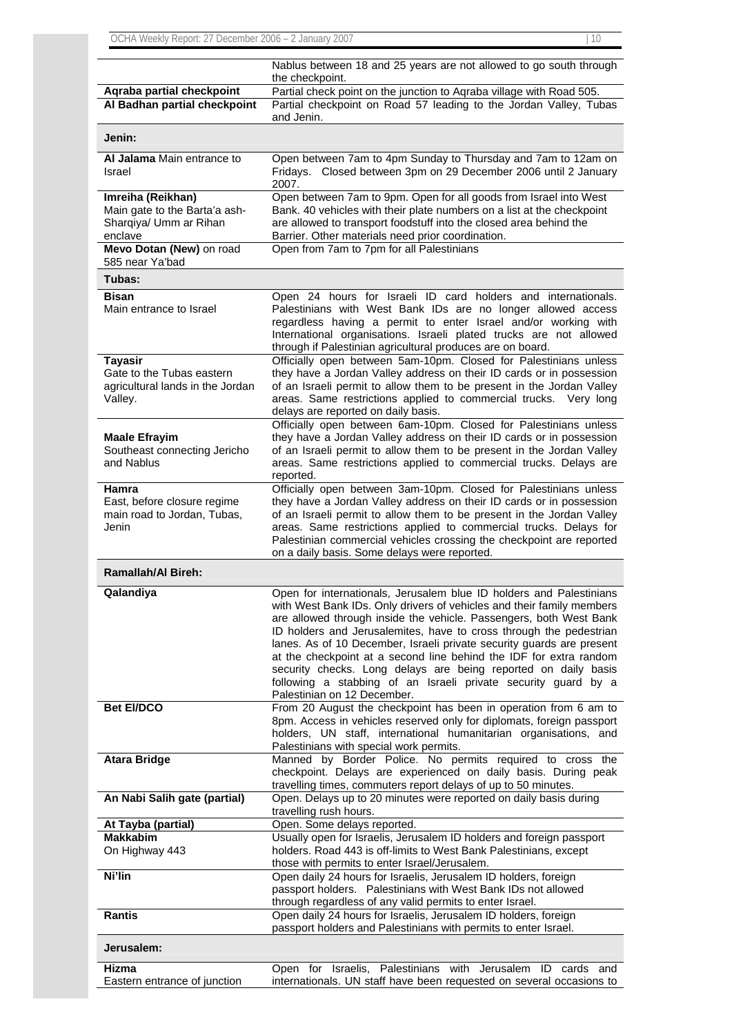|                                                                                         | Nablus between 18 and 25 years are not allowed to go south through<br>the checkpoint.                                                                                                                                                                                                                                                                                                                                                                                                                                                                                                                      |
|-----------------------------------------------------------------------------------------|------------------------------------------------------------------------------------------------------------------------------------------------------------------------------------------------------------------------------------------------------------------------------------------------------------------------------------------------------------------------------------------------------------------------------------------------------------------------------------------------------------------------------------------------------------------------------------------------------------|
| Aqraba partial checkpoint<br>Al Badhan partial checkpoint                               | Partial check point on the junction to Aqraba village with Road 505.<br>Partial checkpoint on Road 57 leading to the Jordan Valley, Tubas<br>and Jenin.                                                                                                                                                                                                                                                                                                                                                                                                                                                    |
| Jenin:                                                                                  |                                                                                                                                                                                                                                                                                                                                                                                                                                                                                                                                                                                                            |
| Al Jalama Main entrance to<br>Israel                                                    | Open between 7am to 4pm Sunday to Thursday and 7am to 12am on<br>Fridays. Closed between 3pm on 29 December 2006 until 2 January<br>2007.                                                                                                                                                                                                                                                                                                                                                                                                                                                                  |
| Imreiha (Reikhan)<br>Main gate to the Barta'a ash-<br>Sharqiya/ Umm ar Rihan<br>enclave | Open between 7am to 9pm. Open for all goods from Israel into West<br>Bank. 40 vehicles with their plate numbers on a list at the checkpoint<br>are allowed to transport foodstuff into the closed area behind the<br>Barrier. Other materials need prior coordination.                                                                                                                                                                                                                                                                                                                                     |
| Mevo Dotan (New) on road<br>585 near Ya'bad                                             | Open from 7am to 7pm for all Palestinians                                                                                                                                                                                                                                                                                                                                                                                                                                                                                                                                                                  |
| Tubas:                                                                                  |                                                                                                                                                                                                                                                                                                                                                                                                                                                                                                                                                                                                            |
| Bisan<br>Main entrance to Israel                                                        | Open 24 hours for Israeli ID card holders and internationals.<br>Palestinians with West Bank IDs are no longer allowed access<br>regardless having a permit to enter Israel and/or working with<br>International organisations. Israeli plated trucks are not allowed<br>through if Palestinian agricultural produces are on board.                                                                                                                                                                                                                                                                        |
| Tayasir<br>Gate to the Tubas eastern<br>agricultural lands in the Jordan<br>Valley.     | Officially open between 5am-10pm. Closed for Palestinians unless<br>they have a Jordan Valley address on their ID cards or in possession<br>of an Israeli permit to allow them to be present in the Jordan Valley<br>areas. Same restrictions applied to commercial trucks. Very long<br>delays are reported on daily basis.                                                                                                                                                                                                                                                                               |
| <b>Maale Efrayim</b><br>Southeast connecting Jericho<br>and Nablus                      | Officially open between 6am-10pm. Closed for Palestinians unless<br>they have a Jordan Valley address on their ID cards or in possession<br>of an Israeli permit to allow them to be present in the Jordan Valley<br>areas. Same restrictions applied to commercial trucks. Delays are<br>reported.                                                                                                                                                                                                                                                                                                        |
| Hamra<br>East, before closure regime<br>main road to Jordan, Tubas,<br>Jenin            | Officially open between 3am-10pm. Closed for Palestinians unless<br>they have a Jordan Valley address on their ID cards or in possession<br>of an Israeli permit to allow them to be present in the Jordan Valley<br>areas. Same restrictions applied to commercial trucks. Delays for<br>Palestinian commercial vehicles crossing the checkpoint are reported<br>on a daily basis. Some delays were reported.                                                                                                                                                                                             |
| <b>Ramallah/Al Bireh:</b>                                                               |                                                                                                                                                                                                                                                                                                                                                                                                                                                                                                                                                                                                            |
| Qalandiya                                                                               | Open for internationals, Jerusalem blue ID holders and Palestinians<br>with West Bank IDs. Only drivers of vehicles and their family members<br>are allowed through inside the vehicle. Passengers, both West Bank<br>ID holders and Jerusalemites, have to cross through the pedestrian<br>lanes. As of 10 December, Israeli private security guards are present<br>at the checkpoint at a second line behind the IDF for extra random<br>security checks. Long delays are being reported on daily basis<br>following a stabbing of an Israeli private security guard by a<br>Palestinian on 12 December. |
| <b>Bet EI/DCO</b>                                                                       | From 20 August the checkpoint has been in operation from 6 am to<br>8pm. Access in vehicles reserved only for diplomats, foreign passport                                                                                                                                                                                                                                                                                                                                                                                                                                                                  |
|                                                                                         | holders, UN staff, international humanitarian organisations, and                                                                                                                                                                                                                                                                                                                                                                                                                                                                                                                                           |
| <b>Atara Bridge</b>                                                                     | Palestinians with special work permits.<br>Manned by Border Police. No permits required to cross the<br>checkpoint. Delays are experienced on daily basis. During peak                                                                                                                                                                                                                                                                                                                                                                                                                                     |
| An Nabi Salih gate (partial)                                                            | travelling times, commuters report delays of up to 50 minutes.<br>Open. Delays up to 20 minutes were reported on daily basis during                                                                                                                                                                                                                                                                                                                                                                                                                                                                        |
| At Tayba (partial)                                                                      | travelling rush hours.<br>Open. Some delays reported.                                                                                                                                                                                                                                                                                                                                                                                                                                                                                                                                                      |
| <b>Makkabim</b><br>On Highway 443                                                       | Usually open for Israelis, Jerusalem ID holders and foreign passport<br>holders. Road 443 is off-limits to West Bank Palestinians, except<br>those with permits to enter Israel/Jerusalem.                                                                                                                                                                                                                                                                                                                                                                                                                 |
| Ni'lin                                                                                  | Open daily 24 hours for Israelis, Jerusalem ID holders, foreign<br>passport holders. Palestinians with West Bank IDs not allowed<br>through regardless of any valid permits to enter Israel.                                                                                                                                                                                                                                                                                                                                                                                                               |
| <b>Rantis</b>                                                                           | Open daily 24 hours for Israelis, Jerusalem ID holders, foreign<br>passport holders and Palestinians with permits to enter Israel.                                                                                                                                                                                                                                                                                                                                                                                                                                                                         |
| Jerusalem:                                                                              |                                                                                                                                                                                                                                                                                                                                                                                                                                                                                                                                                                                                            |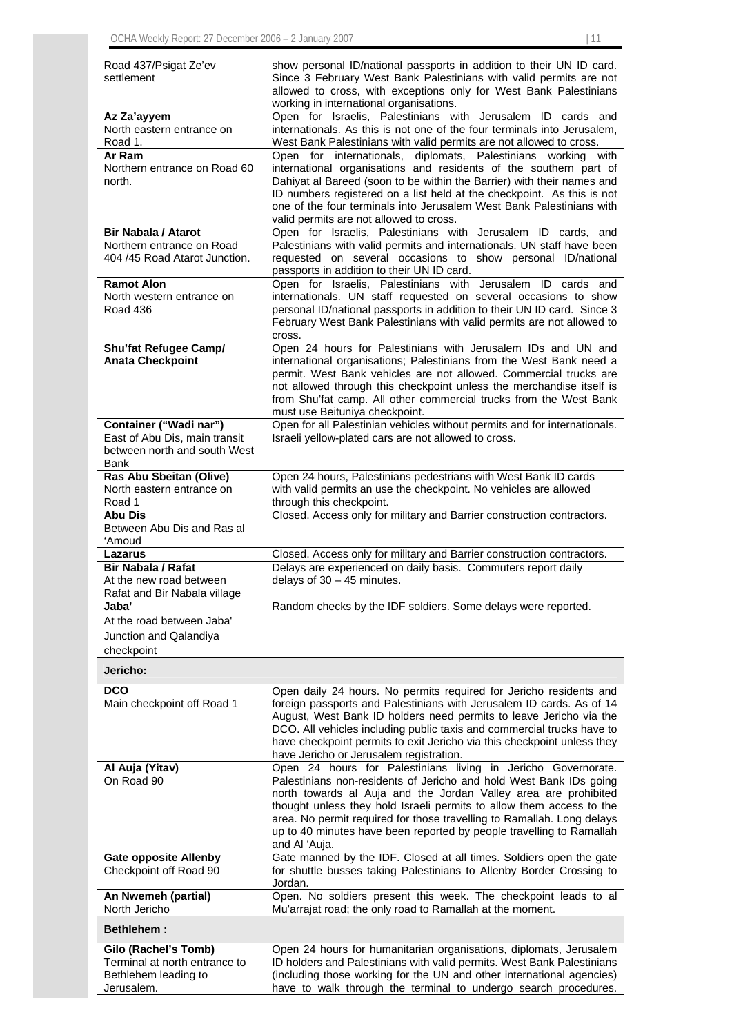| Road 437/Psigat Ze'ev<br>settlement                                                             | show personal ID/national passports in addition to their UN ID card.<br>Since 3 February West Bank Palestinians with valid permits are not<br>allowed to cross, with exceptions only for West Bank Palestinians<br>working in international organisations.                                                                                                                                                                                        |
|-------------------------------------------------------------------------------------------------|---------------------------------------------------------------------------------------------------------------------------------------------------------------------------------------------------------------------------------------------------------------------------------------------------------------------------------------------------------------------------------------------------------------------------------------------------|
| Az Za'ayyem<br>North eastern entrance on<br>Road 1.                                             | Open for Israelis, Palestinians with Jerusalem ID cards and<br>internationals. As this is not one of the four terminals into Jerusalem,<br>West Bank Palestinians with valid permits are not allowed to cross.                                                                                                                                                                                                                                    |
| Ar Ram<br>Northern entrance on Road 60<br>north.                                                | Open for internationals, diplomats, Palestinians working<br>with<br>international organisations and residents of the southern part of<br>Dahiyat al Bareed (soon to be within the Barrier) with their names and<br>ID numbers registered on a list held at the checkpoint. As this is not<br>one of the four terminals into Jerusalem West Bank Palestinians with<br>valid permits are not allowed to cross.                                      |
| <b>Bir Nabala / Atarot</b><br>Northern entrance on Road<br>404 /45 Road Atarot Junction.        | Open for Israelis, Palestinians with Jerusalem ID cards,<br>and<br>Palestinians with valid permits and internationals. UN staff have been<br>requested on several occasions to show personal ID/national<br>passports in addition to their UN ID card.                                                                                                                                                                                            |
| <b>Ramot Alon</b><br>North western entrance on<br>Road 436                                      | Open for Israelis, Palestinians with Jerusalem ID cards and<br>internationals. UN staff requested on several occasions to show<br>personal ID/national passports in addition to their UN ID card. Since 3<br>February West Bank Palestinians with valid permits are not allowed to<br>cross.                                                                                                                                                      |
| Shu'fat Refugee Camp/<br><b>Anata Checkpoint</b>                                                | Open 24 hours for Palestinians with Jerusalem IDs and UN and<br>international organisations; Palestinians from the West Bank need a<br>permit. West Bank vehicles are not allowed. Commercial trucks are<br>not allowed through this checkpoint unless the merchandise itself is<br>from Shu'fat camp. All other commercial trucks from the West Bank<br>must use Beituniya checkpoint.                                                           |
| Container ("Wadi nar")<br>East of Abu Dis, main transit<br>between north and south West<br>Bank | Open for all Palestinian vehicles without permits and for internationals.<br>Israeli yellow-plated cars are not allowed to cross.                                                                                                                                                                                                                                                                                                                 |
| Ras Abu Sbeitan (Olive)<br>North eastern entrance on<br>Road 1                                  | Open 24 hours, Palestinians pedestrians with West Bank ID cards<br>with valid permits an use the checkpoint. No vehicles are allowed<br>through this checkpoint.                                                                                                                                                                                                                                                                                  |
| Abu Dis<br>Between Abu Dis and Ras al<br>'Amoud                                                 | Closed. Access only for military and Barrier construction contractors.                                                                                                                                                                                                                                                                                                                                                                            |
| Lazarus                                                                                         | Closed. Access only for military and Barrier construction contractors.                                                                                                                                                                                                                                                                                                                                                                            |
| <b>Bir Nabala / Rafat</b><br>At the new road between<br>Rafat and Bir Nabala village            | Delays are experienced on daily basis. Commuters report daily<br>delays of $30 - 45$ minutes.                                                                                                                                                                                                                                                                                                                                                     |
| Jaba'<br>At the road between Jaba'<br>Junction and Qalandiya<br>checkpoint                      | Random checks by the IDF soldiers. Some delays were reported.                                                                                                                                                                                                                                                                                                                                                                                     |
| Jericho:                                                                                        |                                                                                                                                                                                                                                                                                                                                                                                                                                                   |
| <b>DCO</b><br>Main checkpoint off Road 1                                                        | Open daily 24 hours. No permits required for Jericho residents and<br>foreign passports and Palestinians with Jerusalem ID cards. As of 14<br>August, West Bank ID holders need permits to leave Jericho via the<br>DCO. All vehicles including public taxis and commercial trucks have to<br>have checkpoint permits to exit Jericho via this checkpoint unless they<br>have Jericho or Jerusalem registration.                                  |
| Al Auja (Yitav)<br>On Road 90                                                                   | Open 24 hours for Palestinians living in Jericho Governorate.<br>Palestinians non-residents of Jericho and hold West Bank IDs going<br>north towards al Auja and the Jordan Valley area are prohibited<br>thought unless they hold Israeli permits to allow them access to the<br>area. No permit required for those travelling to Ramallah. Long delays<br>up to 40 minutes have been reported by people travelling to Ramallah<br>and Al 'Auja. |
| <b>Gate opposite Allenby</b><br>Checkpoint off Road 90                                          | Gate manned by the IDF. Closed at all times. Soldiers open the gate<br>for shuttle busses taking Palestinians to Allenby Border Crossing to<br>Jordan.                                                                                                                                                                                                                                                                                            |

**An Nwemeh (partial)**  North Jericho Open. No soldiers present this week. The checkpoint leads to al Mu'arrajat road; the only road to Ramallah at the moment.

**Bethlehem :** 

| Gilo (Rachel's Tomb)          | Open 24 hours for humanitarian organisations, diplomats, Jerusalem     |
|-------------------------------|------------------------------------------------------------------------|
| Terminal at north entrance to | ID holders and Palestinians with valid permits. West Bank Palestinians |
| Bethlehem leading to          | (including those working for the UN and other international agencies)  |
| Jerusalem.                    | have to walk through the terminal to undergo search procedures.        |
|                               |                                                                        |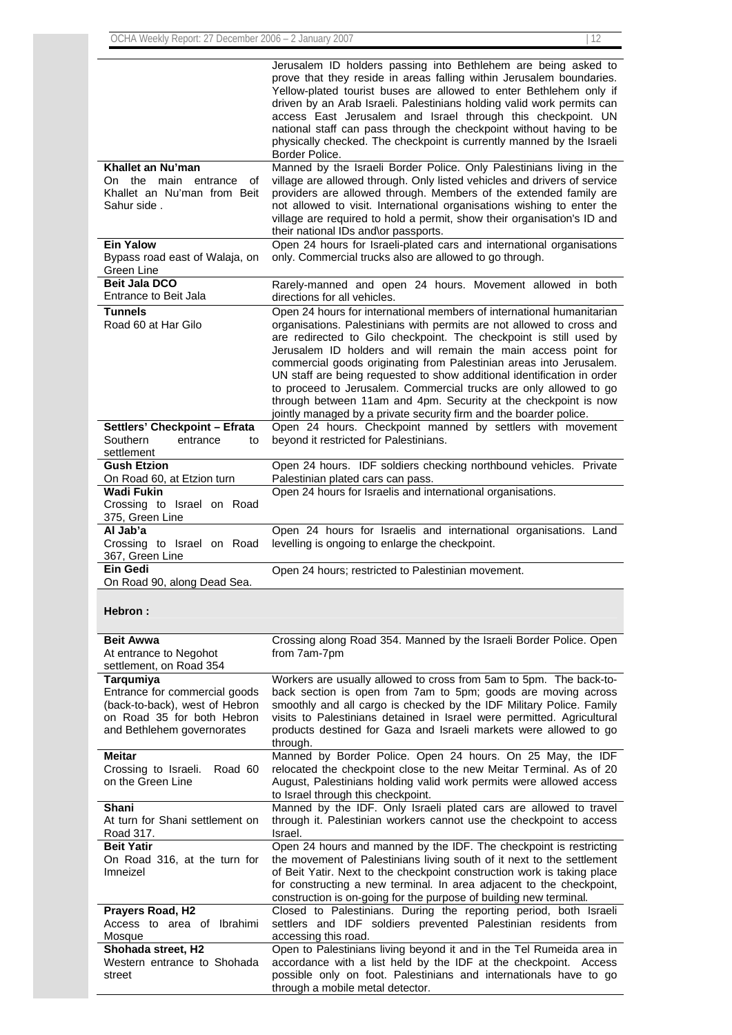|                                                | Jerusalem ID holders passing into Bethlehem are being asked to                                                                               |
|------------------------------------------------|----------------------------------------------------------------------------------------------------------------------------------------------|
|                                                | prove that they reside in areas falling within Jerusalem boundaries.                                                                         |
|                                                | Yellow-plated tourist buses are allowed to enter Bethlehem only if<br>driven by an Arab Israeli. Palestinians holding valid work permits can |
|                                                | access East Jerusalem and Israel through this checkpoint. UN                                                                                 |
|                                                | national staff can pass through the checkpoint without having to be                                                                          |
|                                                | physically checked. The checkpoint is currently manned by the Israeli                                                                        |
|                                                | Border Police.                                                                                                                               |
| Khallet an Nu'man                              | Manned by the Israeli Border Police. Only Palestinians living in the                                                                         |
| On<br>the<br>main<br>entrance<br>ot            | village are allowed through. Only listed vehicles and drivers of service                                                                     |
| Khallet an Nu'man from Beit                    | providers are allowed through. Members of the extended family are                                                                            |
| Sahur side.                                    | not allowed to visit. International organisations wishing to enter the                                                                       |
|                                                | village are required to hold a permit, show their organisation's ID and                                                                      |
| <b>Ein Yalow</b>                               | their national IDs and\or passports.<br>Open 24 hours for Israeli-plated cars and international organisations                                |
| Bypass road east of Walaja, on                 | only. Commercial trucks also are allowed to go through.                                                                                      |
| Green Line                                     |                                                                                                                                              |
| <b>Beit Jala DCO</b>                           | Rarely-manned and open 24 hours. Movement allowed in both                                                                                    |
| Entrance to Beit Jala                          | directions for all vehicles.                                                                                                                 |
| <b>Tunnels</b>                                 | Open 24 hours for international members of international humanitarian                                                                        |
| Road 60 at Har Gilo                            | organisations. Palestinians with permits are not allowed to cross and                                                                        |
|                                                | are redirected to Gilo checkpoint. The checkpoint is still used by                                                                           |
|                                                | Jerusalem ID holders and will remain the main access point for                                                                               |
|                                                | commercial goods originating from Palestinian areas into Jerusalem.                                                                          |
|                                                | UN staff are being requested to show additional identification in order                                                                      |
|                                                | to proceed to Jerusalem. Commercial trucks are only allowed to go                                                                            |
|                                                | through between 11am and 4pm. Security at the checkpoint is now                                                                              |
|                                                | jointly managed by a private security firm and the boarder police.                                                                           |
| Settlers' Checkpoint - Efrata<br>Southern      | Open 24 hours. Checkpoint manned by settlers with movement<br>beyond it restricted for Palestinians.                                         |
| entrance<br>to<br>settlement                   |                                                                                                                                              |
| <b>Gush Etzion</b>                             | Open 24 hours. IDF soldiers checking northbound vehicles. Private                                                                            |
| On Road 60, at Etzion turn                     | Palestinian plated cars can pass.                                                                                                            |
| <b>Wadi Fukin</b>                              | Open 24 hours for Israelis and international organisations.                                                                                  |
| Crossing to Israel on Road                     |                                                                                                                                              |
| 375, Green Line                                |                                                                                                                                              |
|                                                |                                                                                                                                              |
| Al Jab'a                                       | Open 24 hours for Israelis and international organisations. Land                                                                             |
| Crossing to Israel on Road                     | levelling is ongoing to enlarge the checkpoint.                                                                                              |
| 367, Green Line                                |                                                                                                                                              |
| Ein Gedi                                       | Open 24 hours; restricted to Palestinian movement.                                                                                           |
| On Road 90, along Dead Sea.                    |                                                                                                                                              |
|                                                |                                                                                                                                              |
| <b>Hebron :</b>                                |                                                                                                                                              |
|                                                |                                                                                                                                              |
| <b>Beit Awwa</b>                               | Crossing along Road 354. Manned by the Israeli Border Police. Open                                                                           |
| At entrance to Negohot                         | from 7am-7pm                                                                                                                                 |
| settlement, on Road 354                        | Workers are usually allowed to cross from 5am to 5pm. The back-to-                                                                           |
| Tarqumiya<br>Entrance for commercial goods     | back section is open from 7am to 5pm; goods are moving across                                                                                |
| (back-to-back), west of Hebron                 | smoothly and all cargo is checked by the IDF Military Police. Family                                                                         |
| on Road 35 for both Hebron                     | visits to Palestinians detained in Israel were permitted. Agricultural                                                                       |
| and Bethlehem governorates                     | products destined for Gaza and Israeli markets were allowed to go                                                                            |
|                                                | through.                                                                                                                                     |
| <b>Meitar</b>                                  | Manned by Border Police. Open 24 hours. On 25 May, the IDF                                                                                   |
| Crossing to Israeli.<br>Road 60                | relocated the checkpoint close to the new Meitar Terminal. As of 20                                                                          |
| on the Green Line                              | August, Palestinians holding valid work permits were allowed access                                                                          |
| Shani                                          | to Israel through this checkpoint.<br>Manned by the IDF. Only Israeli plated cars are allowed to travel                                      |
| At turn for Shani settlement on                | through it. Palestinian workers cannot use the checkpoint to access                                                                          |
| Road 317.                                      | Israel.                                                                                                                                      |
| <b>Beit Yatir</b>                              | Open 24 hours and manned by the IDF. The checkpoint is restricting                                                                           |
| On Road 316, at the turn for                   | the movement of Palestinians living south of it next to the settlement                                                                       |
| Imneizel                                       | of Beit Yatir. Next to the checkpoint construction work is taking place                                                                      |
|                                                | for constructing a new terminal. In area adjacent to the checkpoint,                                                                         |
|                                                | construction is on-going for the purpose of building new terminal.                                                                           |
| Prayers Road, H2<br>Access to area of Ibrahimi | Closed to Palestinians. During the reporting period, both Israeli                                                                            |
| Mosque                                         | settlers and IDF soldiers prevented Palestinian residents from<br>accessing this road.                                                       |
| Shohada street, H2                             | Open to Palestinians living beyond it and in the Tel Rumeida area in                                                                         |
| Western entrance to Shohada                    | accordance with a list held by the IDF at the checkpoint. Access                                                                             |
| street                                         | possible only on foot. Palestinians and internationals have to go<br>through a mobile metal detector.                                        |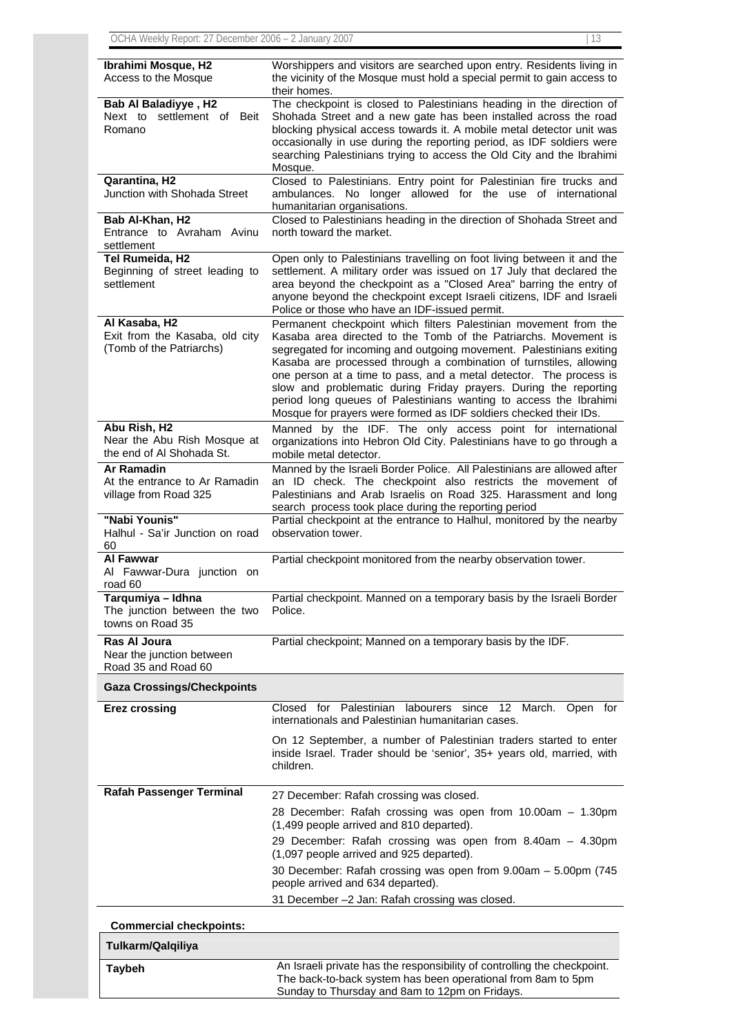| Ibrahimi Mosque, H2<br>Access to the Mosque                                 | Worshippers and visitors are searched upon entry. Residents living in<br>the vicinity of the Mosque must hold a special permit to gain access to<br>their homes.                                                                                                                                                                                                                                                                                                                                                                                                     |
|-----------------------------------------------------------------------------|----------------------------------------------------------------------------------------------------------------------------------------------------------------------------------------------------------------------------------------------------------------------------------------------------------------------------------------------------------------------------------------------------------------------------------------------------------------------------------------------------------------------------------------------------------------------|
| <b>Bab Al Baladiyye, H2</b><br>Next to settlement of Beit<br>Romano         | The checkpoint is closed to Palestinians heading in the direction of<br>Shohada Street and a new gate has been installed across the road<br>blocking physical access towards it. A mobile metal detector unit was<br>occasionally in use during the reporting period, as IDF soldiers were<br>searching Palestinians trying to access the Old City and the Ibrahimi<br>Mosque.                                                                                                                                                                                       |
| Qarantina, H2<br>Junction with Shohada Street                               | Closed to Palestinians. Entry point for Palestinian fire trucks and<br>ambulances. No longer allowed for the use of international<br>humanitarian organisations.                                                                                                                                                                                                                                                                                                                                                                                                     |
| Bab Al-Khan, H2<br>Entrance to Avraham Avinu<br>settlement                  | Closed to Palestinians heading in the direction of Shohada Street and<br>north toward the market.                                                                                                                                                                                                                                                                                                                                                                                                                                                                    |
| Tel Rumeida, H2<br>Beginning of street leading to<br>settlement             | Open only to Palestinians travelling on foot living between it and the<br>settlement. A military order was issued on 17 July that declared the<br>area beyond the checkpoint as a "Closed Area" barring the entry of<br>anyone beyond the checkpoint except Israeli citizens, IDF and Israeli<br>Police or those who have an IDF-issued permit.                                                                                                                                                                                                                      |
| Al Kasaba, H2<br>Exit from the Kasaba, old city<br>(Tomb of the Patriarchs) | Permanent checkpoint which filters Palestinian movement from the<br>Kasaba area directed to the Tomb of the Patriarchs. Movement is<br>segregated for incoming and outgoing movement. Palestinians exiting<br>Kasaba are processed through a combination of turnstiles, allowing<br>one person at a time to pass, and a metal detector. The process is<br>slow and problematic during Friday prayers. During the reporting<br>period long queues of Palestinians wanting to access the Ibrahimi<br>Mosque for prayers were formed as IDF soldiers checked their IDs. |
| Abu Rish, H2<br>Near the Abu Rish Mosque at<br>the end of Al Shohada St.    | Manned by the IDF. The only access point for international<br>organizations into Hebron Old City. Palestinians have to go through a<br>mobile metal detector.                                                                                                                                                                                                                                                                                                                                                                                                        |
| Ar Ramadin<br>At the entrance to Ar Ramadin<br>village from Road 325        | Manned by the Israeli Border Police. All Palestinians are allowed after<br>an ID check. The checkpoint also restricts the movement of<br>Palestinians and Arab Israelis on Road 325. Harassment and long<br>search process took place during the reporting period                                                                                                                                                                                                                                                                                                    |
| "Nabi Younis"<br>Halhul - Sa'ir Junction on road<br>60                      | Partial checkpoint at the entrance to Halhul, monitored by the nearby<br>observation tower.                                                                                                                                                                                                                                                                                                                                                                                                                                                                          |
| Al Fawwar<br>Al Fawwar-Dura junction on<br>road 60                          | Partial checkpoint monitored from the nearby observation tower.                                                                                                                                                                                                                                                                                                                                                                                                                                                                                                      |
| Tarqumiya - Idhna<br>The junction between the two<br>towns on Road 35       | Partial checkpoint. Manned on a temporary basis by the Israeli Border<br>Police.                                                                                                                                                                                                                                                                                                                                                                                                                                                                                     |
| Ras Al Joura<br>Near the junction between<br>Road 35 and Road 60            | Partial checkpoint; Manned on a temporary basis by the IDF.                                                                                                                                                                                                                                                                                                                                                                                                                                                                                                          |
| <b>Gaza Crossings/Checkpoints</b>                                           |                                                                                                                                                                                                                                                                                                                                                                                                                                                                                                                                                                      |
| <b>Erez crossing</b>                                                        | Closed<br>for Palestinian<br>labourers since 12 March. Open for<br>internationals and Palestinian humanitarian cases.                                                                                                                                                                                                                                                                                                                                                                                                                                                |
|                                                                             | On 12 September, a number of Palestinian traders started to enter<br>inside Israel. Trader should be 'senior', 35+ years old, married, with<br>children.                                                                                                                                                                                                                                                                                                                                                                                                             |
| <b>Rafah Passenger Terminal</b>                                             | 27 December: Rafah crossing was closed.                                                                                                                                                                                                                                                                                                                                                                                                                                                                                                                              |
|                                                                             | 28 December: Rafah crossing was open from 10.00am - 1.30pm<br>(1,499 people arrived and 810 departed).                                                                                                                                                                                                                                                                                                                                                                                                                                                               |
|                                                                             | 29 December: Rafah crossing was open from 8.40am - 4.30pm<br>(1,097 people arrived and 925 departed).                                                                                                                                                                                                                                                                                                                                                                                                                                                                |
|                                                                             | 30 December: Rafah crossing was open from 9.00am - 5.00pm (745<br>people arrived and 634 departed).<br>31 December -2 Jan: Rafah crossing was closed.                                                                                                                                                                                                                                                                                                                                                                                                                |
| <b>Commercial checkpoints:</b>                                              |                                                                                                                                                                                                                                                                                                                                                                                                                                                                                                                                                                      |
| Tulkarm/Qalqiliya                                                           |                                                                                                                                                                                                                                                                                                                                                                                                                                                                                                                                                                      |
|                                                                             |                                                                                                                                                                                                                                                                                                                                                                                                                                                                                                                                                                      |

| Taybeh | An Israeli private has the responsibility of controlling the checkpoint. |
|--------|--------------------------------------------------------------------------|
|        | The back-to-back system has been operational from 8am to 5pm             |
|        | Sunday to Thursday and 8am to 12pm on Fridays.                           |